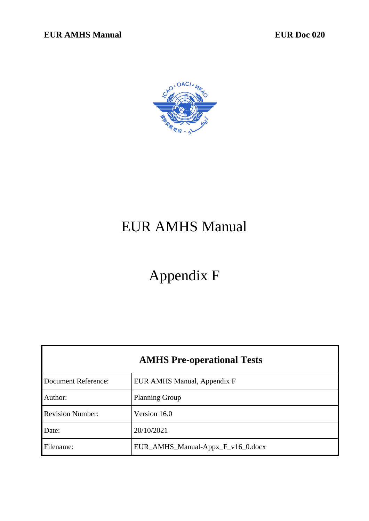

# EUR AMHS Manual

# Appendix F

| <b>AMHS Pre-operational Tests</b> |                                   |  |
|-----------------------------------|-----------------------------------|--|
| Document Reference:               | EUR AMHS Manual, Appendix F       |  |
| Author:                           | <b>Planning Group</b>             |  |
| <b>Revision Number:</b>           | Version 16.0                      |  |
| Date:                             | 20/10/2021                        |  |
| Filename:                         | EUR_AMHS_Manual-Appx_F_v16_0.docx |  |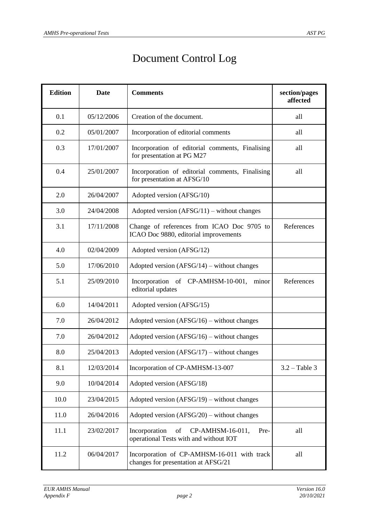## Document Control Log

| <b>Edition</b> | <b>Date</b> | <b>Comments</b>                                                                           | section/pages<br>affected |
|----------------|-------------|-------------------------------------------------------------------------------------------|---------------------------|
| 0.1            | 05/12/2006  | Creation of the document.                                                                 | all                       |
| 0.2            | 05/01/2007  | Incorporation of editorial comments                                                       | all                       |
| 0.3            | 17/01/2007  | Incorporation of editorial comments, Finalising<br>for presentation at PG M27             | all                       |
| 0.4            | 25/01/2007  | Incorporation of editorial comments, Finalising<br>for presentation at AFSG/10            | all                       |
| 2.0            | 26/04/2007  | Adopted version (AFSG/10)                                                                 |                           |
| 3.0            | 24/04/2008  | Adopted version $(AFSG/11)$ – without changes                                             |                           |
| 3.1            | 17/11/2008  | Change of references from ICAO Doc 9705 to<br>ICAO Doc 9880, editorial improvements       | References                |
| 4.0            | 02/04/2009  | Adopted version (AFSG/12)                                                                 |                           |
| 5.0            | 17/06/2010  | Adopted version $(AFSG/14)$ – without changes                                             |                           |
| 5.1            | 25/09/2010  | Incorporation of CP-AMHSM-10-001,<br>minor<br>editorial updates                           | References                |
| 6.0            | 14/04/2011  | Adopted version (AFSG/15)                                                                 |                           |
| 7.0            | 26/04/2012  | Adopted version $(AFSG/16)$ – without changes                                             |                           |
| 7.0            | 26/04/2012  | Adopted version $(AFSG/16)$ – without changes                                             |                           |
| 8.0            | 25/04/2013  | Adopted version $(AFSG/17)$ – without changes                                             |                           |
| 8.1            | 12/03/2014  | Incorporation of CP-AMHSM-13-007                                                          | $3.2 - Table 3$           |
| 9.0            | 10/04/2014  | Adopted version (AFSG/18)                                                                 |                           |
| 10.0           | 23/04/2015  | Adopted version $(AFSG/19)$ – without changes                                             |                           |
| 11.0           | 26/04/2016  | Adopted version $(AFSG/20)$ – without changes                                             |                           |
| 11.1           | 23/02/2017  | Incorporation<br>CP-AMHSM-16-011,<br>of<br>Pre-<br>operational Tests with and without IOT | all                       |
| 11.2           | 06/04/2017  | Incorporation of CP-AMHSM-16-011 with track<br>changes for presentation at AFSG/21        | all                       |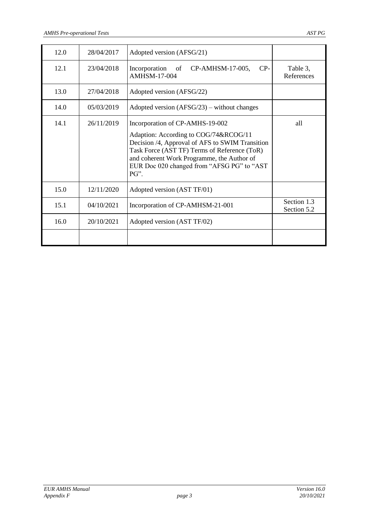| 12.0 | 28/04/2017 | Adopted version (AFSG/21)                                                                                                                                                                                                                                                       |                            |
|------|------------|---------------------------------------------------------------------------------------------------------------------------------------------------------------------------------------------------------------------------------------------------------------------------------|----------------------------|
| 12.1 | 23/04/2018 | Incorporation of CP-AMHSM-17-005,<br>$CP-$<br><b>AMHSM-17-004</b>                                                                                                                                                                                                               | Table 3,<br>References     |
| 13.0 | 27/04/2018 | Adopted version (AFSG/22)                                                                                                                                                                                                                                                       |                            |
| 14.0 | 05/03/2019 | Adopted version $(AFSG/23)$ – without changes                                                                                                                                                                                                                                   |                            |
| 14.1 | 26/11/2019 | Incorporation of CP-AMHS-19-002<br>Adaption: According to COG/74&RCOG/11<br>Decision /4, Approval of AFS to SWIM Transition<br>Task Force (AST TF) Terms of Reference (ToR)<br>and coherent Work Programme, the Author of<br>EUR Doc 020 changed from "AFSG PG" to "AST<br>PG". | all                        |
| 15.0 | 12/11/2020 | Adopted version (AST TF/01)                                                                                                                                                                                                                                                     |                            |
| 15.1 | 04/10/2021 | Incorporation of CP-AMHSM-21-001                                                                                                                                                                                                                                                | Section 1.3<br>Section 5.2 |
| 16.0 | 20/10/2021 | Adopted version (AST TF/02)                                                                                                                                                                                                                                                     |                            |
|      |            |                                                                                                                                                                                                                                                                                 |                            |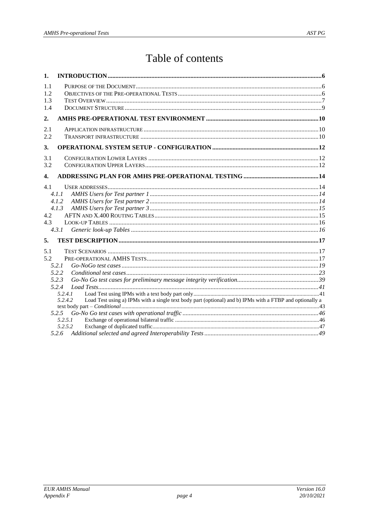## Table of contents

| $\mathbf{1}$ .          |                                                                                                                                                                                                   |  |
|-------------------------|---------------------------------------------------------------------------------------------------------------------------------------------------------------------------------------------------|--|
| 1.1<br>1.2<br>1.3<br>14 |                                                                                                                                                                                                   |  |
| 2.                      |                                                                                                                                                                                                   |  |
| 2.1<br>2.2              |                                                                                                                                                                                                   |  |
| 3.                      |                                                                                                                                                                                                   |  |
| 3.1<br>3.2              |                                                                                                                                                                                                   |  |
| $\overline{4}$ .        |                                                                                                                                                                                                   |  |
| 4.1<br>4.2<br>4.3<br>5. | 4.1.1<br>4.1.2<br>4.1.3<br>4.3.1                                                                                                                                                                  |  |
| 5.1<br>5.2              | 5.2.1<br>5.2.2<br>5.2.3<br>5.2.4<br>5.2.4.1<br>Load Test using a) IPMs with a single text body part (optional) and b) IPMs with a FTBP and optionally a<br>5.2.4.2<br>5.2.5<br>5.2.5.1<br>5.2.5.2 |  |
|                         |                                                                                                                                                                                                   |  |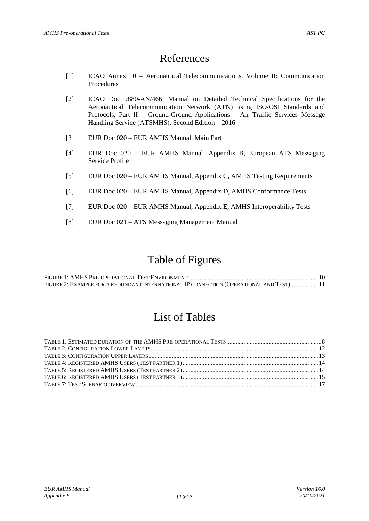## References

- [1] ICAO Annex 10 Aeronautical Telecommunications, Volume II: Communication Procedures
- <span id="page-4-1"></span>[2] ICAO Doc 9880-AN/466: Manual on Detailed Technical Specifications for the Aeronautical Telecommunication Network (ATN) using ISO/OSI Standards and Protocols, Part II – Ground-Ground Applications – Air Traffic Services Message Handling Service (ATSMHS), Second Edition – 2016
- <span id="page-4-3"></span>[3] EUR Doc 020 – EUR AMHS Manual, Main Part
- <span id="page-4-4"></span>[4] EUR Doc 020 – EUR AMHS Manual, Appendix B, European ATS Messaging Service Profile
- [5] EUR Doc 020 EUR AMHS Manual, Appendix C, AMHS Testing Requirements
- <span id="page-4-0"></span>[6] EUR Doc 020 – EUR AMHS Manual, Appendix D, AMHS Conformance Tests
- <span id="page-4-2"></span>[7] EUR Doc 020 – EUR AMHS Manual, Appendix E, AMHS Interoperability Tests
- [8] EUR Doc 021 ATS Messaging Management Manual

## Table of Figures

FIGURE 1: AMHS PRE-OPERATIONAL TEST ENVIRONMENT [...................................................................................10](#page-9-0) FIGURE 2: E[XAMPLE FOR A REDUNDANT INTERNATIONAL](#page-10-0) IP CONNECTION (OPERATIONAL AND TEST)..................11

## List of Tables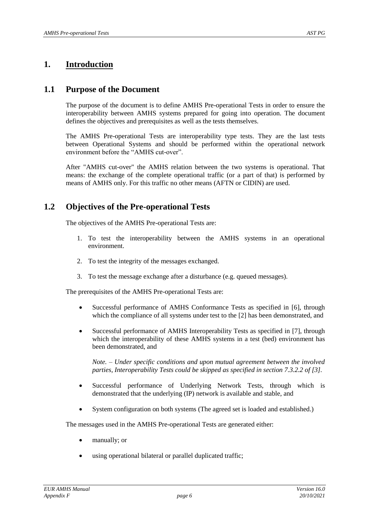## <span id="page-5-0"></span>**1. Introduction**

## **1.1 Purpose of the Document**

The purpose of the document is to define AMHS Pre-operational Tests in order to ensure the interoperability between AMHS systems prepared for going into operation. The document defines the objectives and prerequisites as well as the tests themselves.

The AMHS Pre-operational Tests are interoperability type tests. They are the last tests between Operational Systems and should be performed within the operational network environment before the "AMHS cut-over".

After "AMHS cut-over" the AMHS relation between the two systems is operational. That means: the exchange of the complete operational traffic (or a part of that) is performed by means of AMHS only. For this traffic no other means (AFTN or CIDIN) are used.

## **1.2 Objectives of the Pre-operational Tests**

The objectives of the AMHS Pre-operational Tests are:

- 1. To test the interoperability between the AMHS systems in an operational environment.
- 2. To test the integrity of the messages exchanged.
- 3. To test the message exchange after a disturbance (e.g. queued messages).

The prerequisites of the AMHS Pre-operational Tests are:

- Successful performance of AMHS Conformance Tests as specified in [\[6\]](#page-4-0), through which the compliance of all systems under test to the [\[2\]](#page-4-1) has been demonstrated, and
- Successful performance of AMHS Interoperability Tests as specified in [\[7\]](#page-4-2), through which the interoperability of these AMHS systems in a test (bed) environment has been demonstrated, and

*Note. – Under specific conditions and upon mutual agreement between the involved parties, Interoperability Tests could be skipped as specified in section 7.3.2.2 of [3].*

- Successful performance of Underlying Network Tests, through which is demonstrated that the underlying (IP) network is available and stable, and
- System configuration on both systems (The agreed set is loaded and established.)

The messages used in the AMHS Pre-operational Tests are generated either:

- manually; or
- using operational bilateral or parallel duplicated traffic;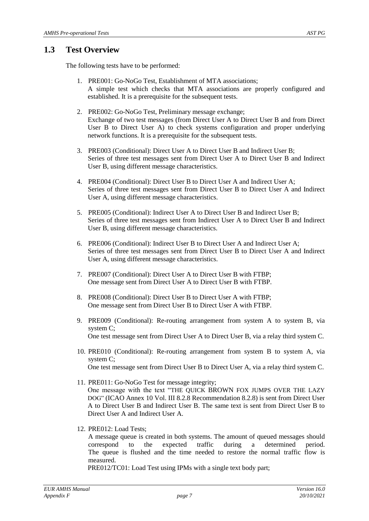## **1.3 Test Overview**

The following tests have to be performed:

- 1. PRE001: Go-NoGo Test, Establishment of MTA associations; A simple test which checks that MTA associations are properly configured and established. It is a prerequisite for the subsequent tests.
- 2. PRE002: Go-NoGo Test, Preliminary message exchange; Exchange of two test messages (from Direct User A to Direct User B and from Direct User B to Direct User A) to check systems configuration and proper underlying network functions. It is a prerequisite for the subsequent tests.
- 3. PRE003 (Conditional): Direct User A to Direct User B and Indirect User B; Series of three test messages sent from Direct User A to Direct User B and Indirect User B, using different message characteristics.
- 4. PRE004 (Conditional): Direct User B to Direct User A and Indirect User A; Series of three test messages sent from Direct User B to Direct User A and Indirect User A, using different message characteristics.
- 5. PRE005 (Conditional): Indirect User A to Direct User B and Indirect User B; Series of three test messages sent from Indirect User A to Direct User B and Indirect User B, using different message characteristics.
- 6. PRE006 (Conditional): Indirect User B to Direct User A and Indirect User A; Series of three test messages sent from Direct User B to Direct User A and Indirect User A, using different message characteristics.
- 7. PRE007 (Conditional): Direct User A to Direct User B with FTBP; One message sent from Direct User A to Direct User B with FTBP.
- 8. PRE008 (Conditional): Direct User B to Direct User A with FTBP; One message sent from Direct User B to Direct User A with FTBP.
- 9. PRE009 (Conditional): Re-routing arrangement from system A to system B, via system C; One test message sent from Direct User A to Direct User B, via a relay third system C.
- 10. PRE010 (Conditional): Re-routing arrangement from system B to system A, via system C;
	- One test message sent from Direct User B to Direct User A, via a relay third system C.
- 11. PRE011: Go-NoGo Test for message integrity; One message with the text "THE QUICK BROWN FOX JUMPS OVER THE LAZY DOG" (ICAO Annex 10 Vol. III 8.2.8 Recommendation 8.2.8) is sent from Direct User A to Direct User B and Indirect User B. The same text is sent from Direct User B to Direct User A and Indirect User A.
- 12. PRE012: Load Tests;

A message queue is created in both systems. The amount of queued messages should correspond to the expected traffic during a determined period. The queue is flushed and the time needed to restore the normal traffic flow is measured.

PRE012/TC01: Load Test using IPMs with a single text body part;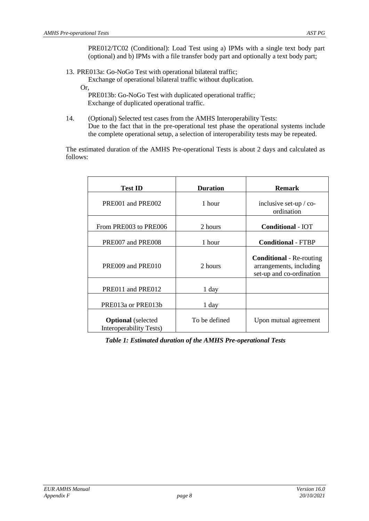PRE012/TC02 (Conditional): Load Test using a) IPMs with a single text body part (optional) and b) IPMs with a file transfer body part and optionally a text body part;

13. PRE013a: Go-NoGo Test with operational bilateral traffic;

Exchange of operational bilateral traffic without duplication.

Or,

PRE013b: Go-NoGo Test with duplicated operational traffic; Exchange of duplicated operational traffic.

14. (Optional) Selected test cases from the AMHS Interoperability Tests: Due to the fact that in the pre-operational test phase the operational systems include the complete operational setup, a selection of interoperability tests may be repeated.

The estimated duration of the AMHS Pre-operational Tests is about 2 days and calculated as follows:

| <b>Test ID</b>                                       | <b>Duration</b> | <b>Remark</b>                                                                          |
|------------------------------------------------------|-----------------|----------------------------------------------------------------------------------------|
| PRE001 and PRE002                                    | 1 hour          | inclusive set-up / co-<br>ordination                                                   |
| From PRE003 to PRE006                                | 2 hours         | <b>Conditional - IOT</b>                                                               |
| PRE007 and PRE008                                    | 1 hour          | <b>Conditional - FTBP</b>                                                              |
| PRE009 and PRE010                                    | 2 hours         | <b>Conditional</b> - Re-routing<br>arrangements, including<br>set-up and co-ordination |
| PRE011 and PRE012                                    | 1 day           |                                                                                        |
| PRE013a or PRE013b                                   | 1 day           |                                                                                        |
| <b>Optional</b> (selected<br>Interoperability Tests) | To be defined   | Upon mutual agreement                                                                  |

<span id="page-7-0"></span>*Table 1: Estimated duration of the AMHS Pre-operational Tests*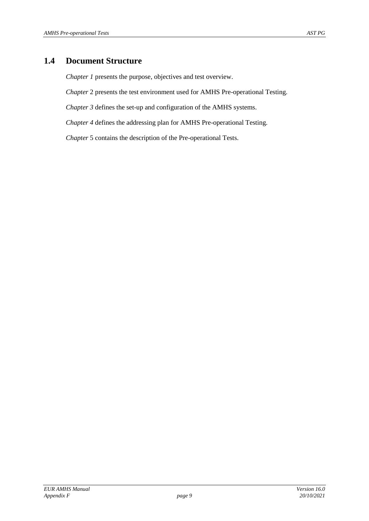## **1.4 Document Structure**

*Chapter [1](#page-5-0)* presents the purpose, objectives and test overview.

*Chapter* [2](#page-9-1) presents the test environment used for AMHS Pre-operational Testing.

*Chapter [3](#page-11-1)* defines the set-up and configuration of the AMHS systems.

*Chapter [4](#page-13-2)* defines the addressing plan for AMHS Pre-operational Testing.

*Chapter* [5](#page-16-1) contains the description of the Pre-operational Tests.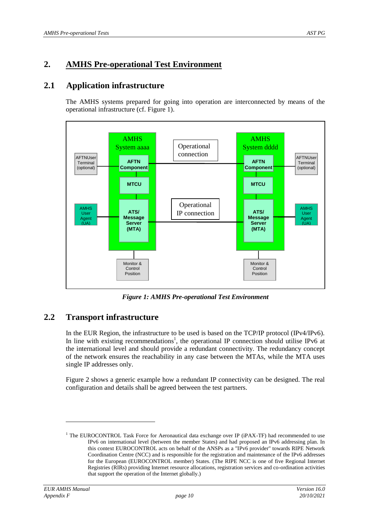## <span id="page-9-1"></span>**2. AMHS Pre-operational Test Environment**

## **2.1 Application infrastructure**

The AMHS systems prepared for going into operation are interconnected by means of the operational infrastructure (cf. [Figure 1\)](#page-9-0).



*Figure 1: AMHS Pre-operational Test Environment*

## <span id="page-9-0"></span>**2.2 Transport infrastructure**

In the EUR Region, the infrastructure to be used is based on the TCP/IP protocol (IPv4/IPv6). In line with existing recommendations<sup>1</sup>, the operational IP connection should utilise IPv6 at the international level and should provide a redundant connectivity. The redundancy concept of the network ensures the reachability in any case between the MTAs, while the MTA uses single IP addresses only.

[Figure 2](#page-10-0) shows a generic example how a redundant IP connectivity can be designed. The real configuration and details shall be agreed between the test partners.

l

<sup>&</sup>lt;sup>1</sup> The EUROCONTROL Task Force for Aeronautical data exchange over IP (iPAX-TF) had recommended to use IPv6 on international level (between the member States) and had proposed an IPv6 addressing plan. In this context EUROCONTROL acts on behalf of the ANSPs as a "IPv6 provider" towards RIPE Network Coordination Centre (NCC) and is responsible for the registration and maintenance of the IPv6 addresses for the European (EUROCONTROL member) States. (The RIPE NCC is one of five Regional Internet Registries (RIRs) providing Internet resource allocations, registration services and co-ordination activities that support the operation of the Internet globally.)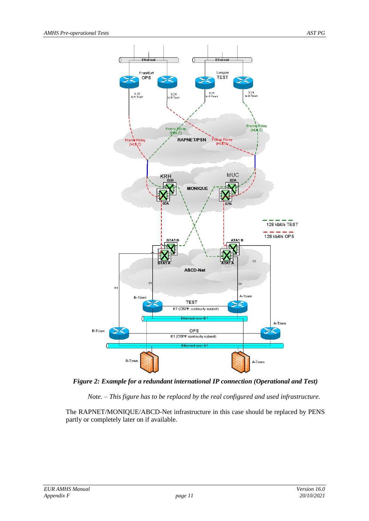

<span id="page-10-0"></span>*Figure 2: Example for a redundant international IP connection (Operational and Test)*

*Note. – This figure has to be replaced by the real configured and used infrastructure.* 

The RAPNET/MONIQUE/ABCD-Net infrastructure in this case should be replaced by PENS partly or completely later on if available.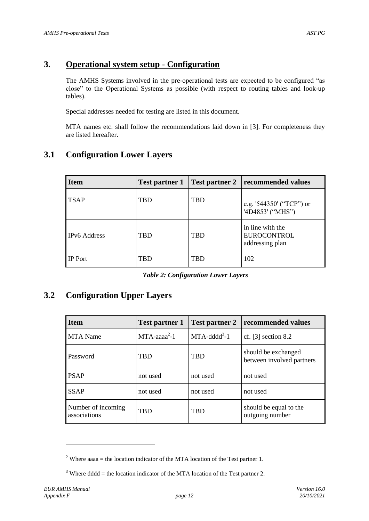## <span id="page-11-1"></span>**3. Operational system setup - Configuration**

The AMHS Systems involved in the pre-operational tests are expected to be configured "as close" to the Operational Systems as possible (with respect to routing tables and look-up tables).

Special addresses needed for testing are listed in this document.

MTA names etc. shall follow the recommendations laid down in [\[3\]](#page-4-3). For completeness they are listed hereafter.

| <b>Item</b>         | <b>Test partner 1</b> | <b>Test partner 2</b> | recommended values                                        |
|---------------------|-----------------------|-----------------------|-----------------------------------------------------------|
| <b>TSAP</b>         | TBD                   | <b>TBD</b>            | e.g. '544350' ("TCP") or<br>'4D4853' ("MHS")              |
| <b>IPv6</b> Address | <b>TBD</b>            | <b>TBD</b>            | in line with the<br><b>EUROCONTROL</b><br>addressing plan |
| <b>IP</b> Port      | TBD                   | TBD                   | 102                                                       |

## **3.1 Configuration Lower Layers**

*Table 2: Configuration Lower Layers*

## <span id="page-11-0"></span>**3.2 Configuration Upper Layers**

| <b>Item</b>                        | <b>Test partner 1</b> | <b>Test partner 2</b> | recommended values                               |
|------------------------------------|-----------------------|-----------------------|--------------------------------------------------|
| <b>MTA</b> Name                    | $MTA$ -aaa $a^2-1$    | $MTA$ -ddd $d^3$ -1   | cf. $[3]$ section 8.2                            |
| Password                           | <b>TRD</b>            | <b>TBD</b>            | should be exchanged<br>between involved partners |
| <b>PSAP</b>                        | not used              | not used              | not used                                         |
| <b>SSAP</b>                        | not used              | not used              | not used                                         |
| Number of incoming<br>associations | <b>TBD</b>            | <b>TBD</b>            | should be equal to the<br>outgoing number        |

l

<sup>&</sup>lt;sup>2</sup> Where aaaa = the location indicator of the MTA location of the Test partner 1.

<sup>&</sup>lt;sup>3</sup> Where dddd = the location indicator of the MTA location of the Test partner 2.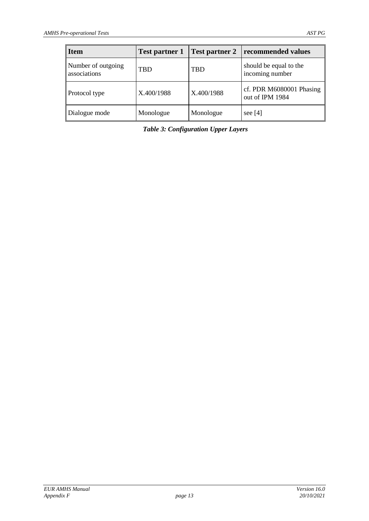<span id="page-12-0"></span>

| <b>Item</b>                        | <b>Test partner 1</b> |            | Test partner 2   recommended values         |
|------------------------------------|-----------------------|------------|---------------------------------------------|
| Number of outgoing<br>associations | <b>TBD</b>            | <b>TBD</b> | should be equal to the<br>incoming number   |
| Protocol type                      | X.400/1988            | X.400/1988 | cf. PDR M6080001 Phasing<br>out of IPM 1984 |
| Dialogue mode                      | Monologue             | Monologue  | see $[4]$                                   |

*Table 3: Configuration Upper Layers*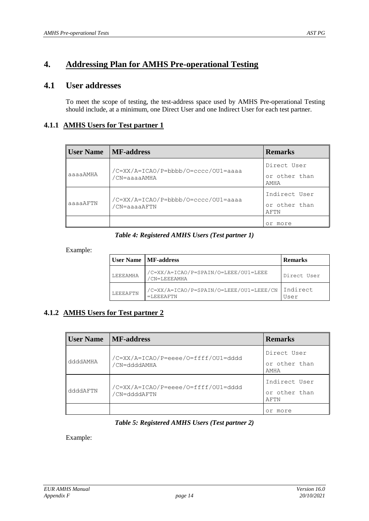## <span id="page-13-2"></span>**4. Addressing Plan for AMHS Pre-operational Testing**

## **4.1 User addresses**

To meet the scope of testing, the test-address space used by AMHS Pre-operational Testing should include, at a minimum, one Direct User and one Indirect User for each test partner.

#### **4.1.1 AMHS Users for Test partner 1**

| <b>User Name</b> MF-address |                                                     | <b>Remarks</b>                         |
|-----------------------------|-----------------------------------------------------|----------------------------------------|
| aaaaAMHA                    | /C=XX/A=ICAO/P=bbbb/O=cccc/OU1=aaaa<br>/CN=aaaaAMHA | Direct User<br>or other than<br>AMHA   |
| aaaaAFTN                    | /C=XX/A=ICAO/P=bbbb/O=cccc/OU1=aaaa<br>/CN=aaaaAFTN | Indirect User<br>or other than<br>AFTN |
|                             |                                                     | or.<br>more                            |

#### *Table 4: Registered AMHS Users (Test partner 1)*

<span id="page-13-0"></span>Example:

|          | User Name   MF-address                                  | <b>Remarks</b>   |
|----------|---------------------------------------------------------|------------------|
| LEEEAMHA | /C=XX/A=ICAO/P=SPAIN/O=LEEE/OU1=LEEE<br>/CN=LEEEAMHA    | Direct User      |
| LEEEAFTN | /C=XX/A=ICAO/P=SPAIN/O=LEEE/OU1=LEEE/CN<br>$=$ LEEEAFTN | Indirect<br>User |

## **4.1.2 AMHS Users for Test partner 2**

| <b>User Name</b> | <b>MF-address</b>                                   | <b>Remarks</b>                         |
|------------------|-----------------------------------------------------|----------------------------------------|
| ddddAMHA         | /C=XX/A=ICAO/P=eeee/O=ffff/OU1=dddd<br>/CN=ddddAMHA | Direct User<br>or other than<br>AMHA   |
| ddddAFTN         | /C=XX/A=ICAO/P=eeee/O=ffff/OU1=dddd<br>/CN=ddddAFTN | Indirect User<br>or other than<br>AFTN |
|                  |                                                     | more<br>Οr                             |

#### *Table 5: Registered AMHS Users (Test partner 2)*

<span id="page-13-1"></span>Example: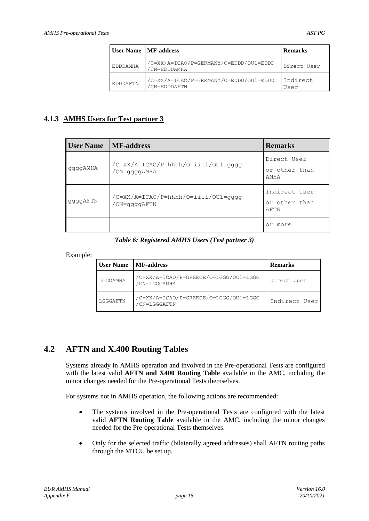|          | <b>User Name   MF-address</b>                         | <b>Remarks</b>   |
|----------|-------------------------------------------------------|------------------|
| EDDDAMHA | /C=XX/A=ICAO/P=GERMANY/O=EDDD/OU1=EDDD<br>CN=EDDDAMHA | Direct User      |
| EDDDAFTN | /C=XX/A=ICAO/P=GERMANY/O=EDDD/OU1=EDDD<br>CN=EDDDAFTN | Indirect<br>User |

### **4.1.3 AMHS Users for Test partner 3**

| <b>User Name</b> | <b>MF-address</b>                                   | <b>Remarks</b>                         |
|------------------|-----------------------------------------------------|----------------------------------------|
| ggggAMHA         | /C=XX/A=ICAO/P=hhhh/O=iiii/OU1=qqqq<br>/CN=ggggAMHA | Direct User<br>or other than<br>AMHA   |
| ggggAFTN         | /C=XX/A=ICAO/P=hhhh/O=iiii/OU1=qqqq<br>CN=ggggAFTN  | Indirect User<br>or other than<br>AFTN |
|                  |                                                     | or more                                |

#### *Table 6: Registered AMHS Users (Test partner 3)*

<span id="page-14-0"></span>Example:

| <b>User Name</b> | MF-address                                            | <b>Remarks</b> |
|------------------|-------------------------------------------------------|----------------|
| LGGGAMHA         | /C=XX/A=ICAO/P=GREECE/O=LGGG/OU1=LGGG<br>/CN=LGGGAMHA | Direct User    |
| LGGGAFTN         | /C=XX/A=ICAO/P=GREECE/O=LGGG/OU1=LGGG<br>CN=LGGGAFTN  | Indirect User  |

## **4.2 AFTN and X.400 Routing Tables**

Systems already in AMHS operation and involved in the Pre-operational Tests are configured with the latest valid **AFTN and X400 Routing Table** available in the AMC, including the minor changes needed for the Pre-operational Tests themselves.

For systems not in AMHS operation, the following actions are recommended:

- The systems involved in the Pre-operational Tests are configured with the latest valid **AFTN Routing Table** available in the AMC, including the minor changes needed for the Pre-operational Tests themselves.
- Only for the selected traffic (bilaterally agreed addresses) shall AFTN routing paths through the MTCU be set up.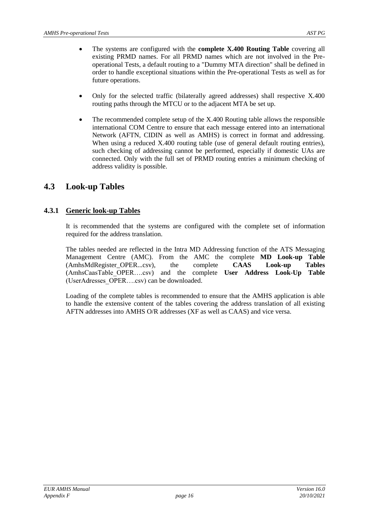- The systems are configured with the **complete X.400 Routing Table** covering all existing PRMD names. For all PRMD names which are not involved in the Preoperational Tests, a default routing to a "Dummy MTA direction" shall be defined in order to handle exceptional situations within the Pre-operational Tests as well as for future operations.
- Only for the selected traffic (bilaterally agreed addresses) shall respective X.400 routing paths through the MTCU or to the adjacent MTA be set up.
- The recommended complete setup of the X.400 Routing table allows the responsible international COM Centre to ensure that each message entered into an international Network (AFTN, CIDIN as well as AMHS) is correct in format and addressing. When using a reduced X.400 routing table (use of general default routing entries), such checking of addressing cannot be performed, especially if domestic UAs are connected. Only with the full set of PRMD routing entries a minimum checking of address validity is possible.

## **4.3 Look-up Tables**

## **4.3.1 Generic look-up Tables**

It is recommended that the systems are configured with the complete set of information required for the address translation.

The tables needed are reflected in the Intra MD Addressing function of the ATS Messaging Management Centre (AMC). From the AMC the complete **MD Look-up Table**  (AmhsMdRegister\_OPER...csv), the complete **CAAS Look-up Tables** (AmhsCaasTable\_OPER….csv) and the complete **User Address Look-Up Table** (UserAdresses\_OPER….csv) can be downloaded.

Loading of the complete tables is recommended to ensure that the AMHS application is able to handle the extensive content of the tables covering the address translation of all existing AFTN addresses into AMHS O/R addresses (XF as well as CAAS) and vice versa.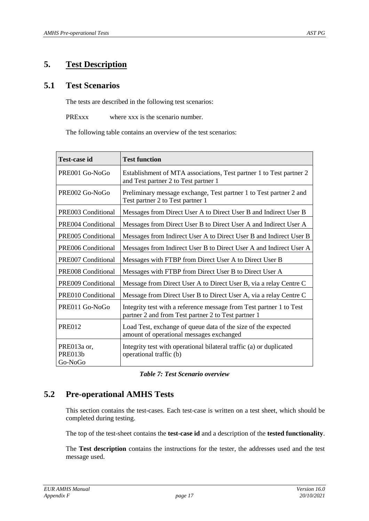## <span id="page-16-1"></span>**5. Test Description**

## **5.1 Test Scenarios**

The tests are described in the following test scenarios:

PRExxx where xxx is the scenario number.

The following table contains an overview of the test scenarios:

| <b>Test-case id</b>               | <b>Test function</b>                                                                                                       |  |
|-----------------------------------|----------------------------------------------------------------------------------------------------------------------------|--|
| PRE001 Go-NoGo                    | Establishment of MTA associations, Test partner 1 to Test partner 2<br>and Test partner 2 to Test partner 1                |  |
| PRE002 Go-NoGo                    | Preliminary message exchange, Test partner 1 to Test partner 2 and<br>Test partner 2 to Test partner 1                     |  |
| PRE003 Conditional                | Messages from Direct User A to Direct User B and Indirect User B                                                           |  |
| PRE004 Conditional                | Messages from Direct User B to Direct User A and Indirect User A                                                           |  |
| PRE005 Conditional                | Messages from Indirect User A to Direct User B and Indirect User B                                                         |  |
| PRE006 Conditional                | Messages from Indirect User B to Direct User A and Indirect User A                                                         |  |
| PRE007 Conditional                | Messages with FTBP from Direct User A to Direct User B                                                                     |  |
| PRE008 Conditional                | Messages with FTBP from Direct User B to Direct User A                                                                     |  |
| PRE009 Conditional                | Message from Direct User A to Direct User B, via a relay Centre C                                                          |  |
| PRE010 Conditional                | Message from Direct User B to Direct User A, via a relay Centre C                                                          |  |
| PRE011 Go-NoGo                    | Integrity test with a reference message from Test partner 1 to Test<br>partner 2 and from Test partner 2 to Test partner 1 |  |
| <b>PRE012</b>                     | Load Test, exchange of queue data of the size of the expected<br>amount of operational messages exchanged                  |  |
| PRE013a or,<br>PRE013b<br>Go-NoGo | Integrity test with operational bilateral traffic (a) or duplicated<br>operational traffic (b)                             |  |

*Table 7: Test Scenario overview*

## <span id="page-16-0"></span>**5.2 Pre-operational AMHS Tests**

This section contains the test-cases. Each test-case is written on a test sheet, which should be completed during testing.

The top of the test-sheet contains the **test-case id** and a description of the **tested functionality**.

The **Test description** contains the instructions for the tester, the addresses used and the test message used.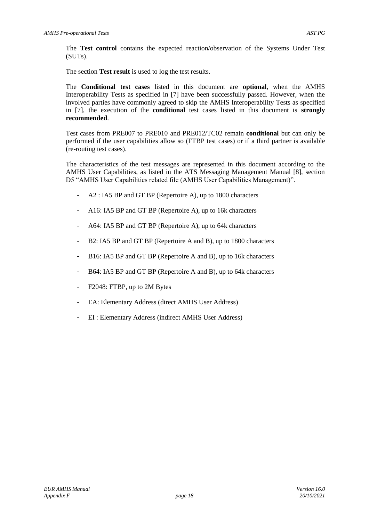The **Test control** contains the expected reaction/observation of the Systems Under Test (SUTs).

The section **Test result** is used to log the test results.

The **Conditional test cases** listed in this document are **optional**, when the AMHS Interoperability Tests as specified in [7] have been successfully passed. However, when the involved parties have commonly agreed to skip the AMHS Interoperability Tests as specified in [7], the execution of the **conditional** test cases listed in this document is **strongly recommended**.

Test cases from PRE007 to PRE010 and PRE012/TC02 remain **conditional** but can only be performed if the user capabilities allow so (FTBP test cases) or if a third partner is available (re-routing test cases).

The characteristics of the test messages are represented in this document according to the AMHS User Capabilities, as listed in the ATS Messaging Management Manual [8], section D5 "AMHS User Capabilities related file (AMHS User Capabilities Management)".

- A2 : IA5 BP and GT BP (Repertoire A), up to 1800 characters
- A16: IA5 BP and GT BP (Repertoire A), up to 16k characters
- A64: IA5 BP and GT BP (Repertoire A), up to 64k characters
- B2: IA5 BP and GT BP (Repertoire A and B), up to 1800 characters
- B16: IA5 BP and GT BP (Repertoire A and B), up to 16k characters
- B64: IA5 BP and GT BP (Repertoire A and B), up to 64k characters
- F2048: FTBP, up to 2M Bytes
- EA: Elementary Address (direct AMHS User Address)
- EI : Elementary Address (indirect AMHS User Address)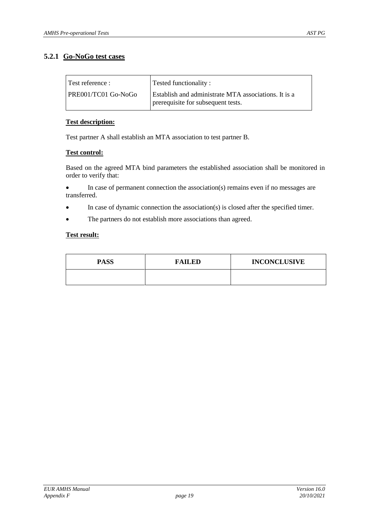### **5.2.1 Go-NoGo test cases**

| Test reference :    | Tested functionality:                                                                             |
|---------------------|---------------------------------------------------------------------------------------------------|
| PRE001/TC01 Go-NoGo | <b>Establish and administrate MTA associations.</b> It is a<br>prerequisite for subsequent tests. |

#### **Test description:**

Test partner A shall establish an MTA association to test partner B.

#### **Test control:**

Based on the agreed MTA bind parameters the established association shall be monitored in order to verify that:

 In case of permanent connection the association(s) remains even if no messages are transferred.

- In case of dynamic connection the association(s) is closed after the specified timer.
- The partners do not establish more associations than agreed.

| <b>PASS</b> | <b>FAILED</b> | <b>INCONCLUSIVE</b> |
|-------------|---------------|---------------------|
|             |               |                     |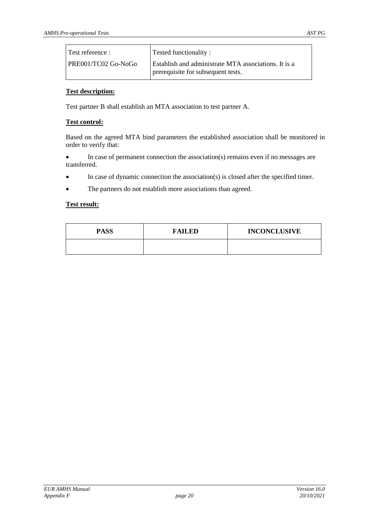| Test reference :    | Tested functionality:                                                                      |
|---------------------|--------------------------------------------------------------------------------------------|
| PRE001/TC02 Go-NoGo | Establish and administrate MTA associations. It is a<br>prerequisite for subsequent tests. |

Test partner B shall establish an MTA association to test partner A.

#### **Test control:**

Based on the agreed MTA bind parameters the established association shall be monitored in order to verify that:

 In case of permanent connection the association(s) remains even if no messages are transferred.

- In case of dynamic connection the association(s) is closed after the specified timer.
- The partners do not establish more associations than agreed.

| <b>PASS</b> | <b>FAILED</b> | <b>INCONCLUSIVE</b> |
|-------------|---------------|---------------------|
|             |               |                     |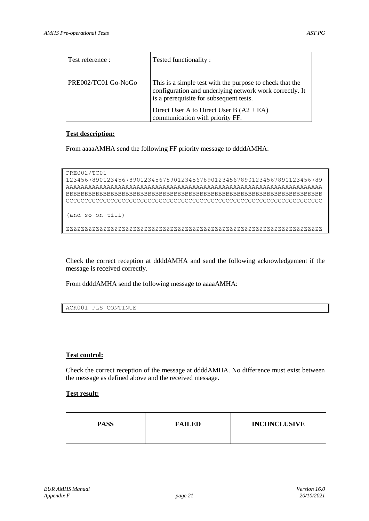| Test reference :    | Tested functionality:                                                                                                                                          |
|---------------------|----------------------------------------------------------------------------------------------------------------------------------------------------------------|
| PRE002/TC01 Go-NoGo | This is a simple test with the purpose to check that the<br>configuration and underlying network work correctly. It<br>is a prerequisite for subsequent tests. |
|                     | Direct User A to Direct User B $(A2 + EA)$<br>communication with priority FF.                                                                                  |

From aaaaAMHA send the following FF priority message to ddddAMHA:

```
PRE002/TC01
```

```
123456789012345678901234567890123456789012345678901234567890123456789
AAAAAAAAAAAAAAAAAAAAAAAAAAAAAAAAAAAAAAAAAAAAAAAAAAAAAAAAAAAAAAAAAAAAA
BBBBBBBBBBBBBBBBBBBBBBBBBBBBBBBBBBBBBBBBBBBBBBBBBBBBBBBBBBBBBBBBBBBBB
CCCCCCCCCCCCCCCCCCCCCCCCCCCCCCCCCCCCCCCCCCCCCCCCCCCCCCCCCCCCCCCCCCCCC
(and so on till)
ZZZZZZZZZZZZZZZZZZZZZZZZZZZZZZZZZZZZZZZZZZZZZZZZZZZZZZZZZZZZZZZZZZZZZ
```
Check the correct reception at ddddAMHA and send the following acknowledgement if the message is received correctly.

From ddddAMHA send the following message to aaaaAMHA:

```
ACK001 PLS CONTINUE
```
#### **Test control:**

Check the correct reception of the message at ddddAMHA. No difference must exist between the message as defined above and the received message.

| <b>PASS</b> | <b>FAILED</b> | <b>INCONCLUSIVE</b> |
|-------------|---------------|---------------------|
|             |               |                     |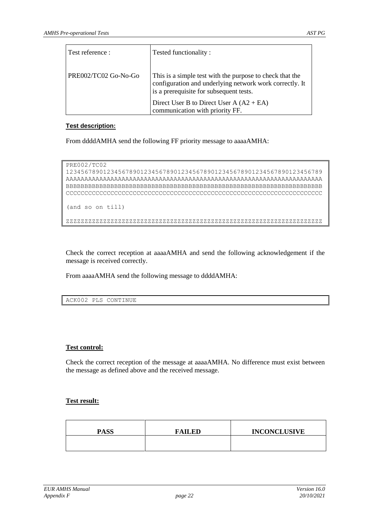| Test reference :     | Tested functionality:                                                                                                                                          |
|----------------------|----------------------------------------------------------------------------------------------------------------------------------------------------------------|
| PRE002/TC02 Go-No-Go | This is a simple test with the purpose to check that the<br>configuration and underlying network work correctly. It<br>is a prerequisite for subsequent tests. |
|                      | Direct User B to Direct User A $(A2 + EA)$<br>communication with priority FF.                                                                                  |

From ddddAMHA send the following FF priority message to aaaaAMHA:

```
PRE002/TC02
123456789012345678901234567890123456789012345678901234567890123456789
AAAAAAAAAAAAAAAAAAAAAAAAAAAAAAAAAAAAAAAAAAAAAAAAAAAAAAAAAAAAAAAAAAAAA
BBBBBBBBBBBBBBBBBBBBBBBBBBBBBBBBBBBBBBBBBBBBBBBBBBBBBBBBBBBBBBBBBBBBB
CCCCCCCCCCCCCCCCCCCCCCCCCCCCCCCCCCCCCCCCCCCCCCCCCCCCCCCCCCCCCCCCCCCCC
(and so on till)
{\tt ZZZZZZZZZZZZZZZZZZZZZZZZZZZZZZZZZZZZZZZZZZZZZZZZZZZZZZZZZZZZZZZZZZZZZZ
```
Check the correct reception at aaaaAMHA and send the following acknowledgement if the message is received correctly.

From aaaaAMHA send the following message to ddddAMHA:

ACK002 PLS CONTINUE

#### **Test control:**

Check the correct reception of the message at aaaaAMHA. No difference must exist between the message as defined above and the received message.

| <b>PASS</b> | <b>FAILED</b> | <b>INCONCLUSIVE</b> |
|-------------|---------------|---------------------|
|             |               |                     |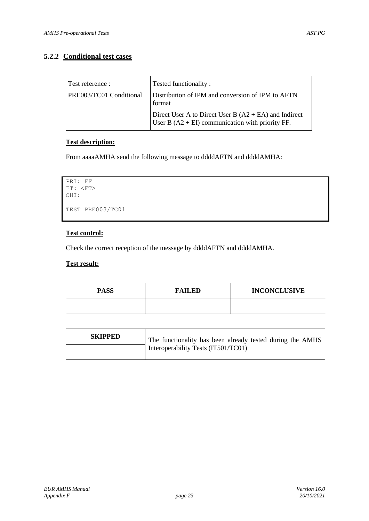### **5.2.2 Conditional test cases**

| Test reference :<br>PRE003/TC01 Conditional | Tested functionality:<br>Distribution of IPM and conversion of IPM to AFTN                                    |
|---------------------------------------------|---------------------------------------------------------------------------------------------------------------|
|                                             | format                                                                                                        |
|                                             | Direct User A to Direct User B $(A2 + EA)$ and Indirect<br>User B $(A2 + EI)$ communication with priority FF. |

#### **Test description:**

From aaaaAMHA send the following message to ddddAFTN and ddddAMHA:

```
PRI: FF
FT: <FT>
OHI: 
TEST PRE003/TC01
```
#### **Test control:**

Check the correct reception of the message by ddddAFTN and ddddAMHA.

| <b>PASS</b> | <b>FAILED</b> | <b>INCONCLUSIVE</b> |
|-------------|---------------|---------------------|
|             |               |                     |

| <b>SKIPPED</b> | The functionality has been already tested during the AMHS |
|----------------|-----------------------------------------------------------|
|                | Interoperability Tests (IT501/TC01)                       |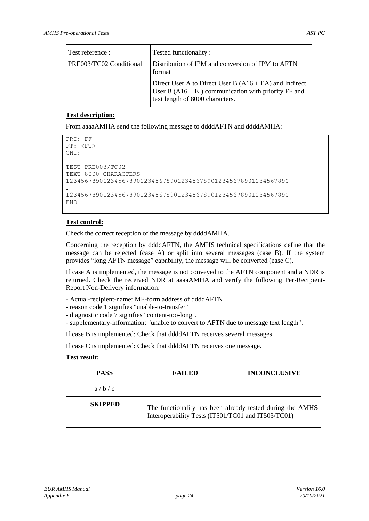| Test reference :        | Tested functionality:                                                                                                                                 |
|-------------------------|-------------------------------------------------------------------------------------------------------------------------------------------------------|
| PRE003/TC02 Conditional | Distribution of IPM and conversion of IPM to AFTN<br>format                                                                                           |
|                         | Direct User A to Direct User B $(A16 + EA)$ and Indirect<br>User B $(A16 + EI)$ communication with priority FF and<br>text length of 8000 characters. |

From aaaaAMHA send the following message to ddddAFTN and ddddAMHA:

```
PRI: FF
FT: <FT>
OHI:
TEST PRE003/TC02
TEXT 8000 CHARACTERS
123456789012345678901234567890123456789012345678901234567890
…
123456789012345678901234567890123456789012345678901234567890
END
```
#### **Test control:**

Check the correct reception of the message by ddddAMHA.

Concerning the reception by ddddAFTN, the AMHS technical specifications define that the message can be rejected (case A) or split into several messages (case B). If the system provides "long AFTN message" capability, the message will be converted (case C).

If case A is implemented, the message is not conveyed to the AFTN component and a NDR is returned. Check the received NDR at aaaaAMHA and verify the following Per-Recipient-Report Non-Delivery information:

- Actual-recipient-name: MF-form address of ddddAFTN
- reason code 1 signifies "unable-to-transfer"
- diagnostic code 7 signifies "content-too-long".
- supplementary-information: "unable to convert to AFTN due to message text length".

If case B is implemented: Check that ddddAFTN receives several messages.

If case C is implemented: Check that ddddAFTN receives one message.

| <b>PASS</b>    | <b>FAILED</b>                                             | <b>INCONCLUSIVE</b> |
|----------------|-----------------------------------------------------------|---------------------|
| a/b/c          |                                                           |                     |
| <b>SKIPPED</b> | The functionality has been already tested during the AMHS |                     |
|                | Interoperability Tests (IT501/TC01 and IT503/TC01)        |                     |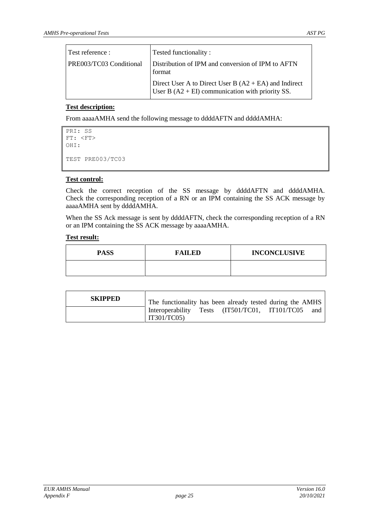| Test reference :        | Tested functionality:                                                                                         |
|-------------------------|---------------------------------------------------------------------------------------------------------------|
| PRE003/TC03 Conditional | Distribution of IPM and conversion of IPM to AFTN<br>format                                                   |
|                         | Direct User A to Direct User B $(A2 + EA)$ and Indirect<br>User B $(A2 + EI)$ communication with priority SS. |

From aaaaAMHA send the following message to ddddAFTN and ddddAMHA:

```
PRI: SS
FT: <FT>
OHI:
TEST PRE003/TC03
```
#### **Test control:**

Check the correct reception of the SS message by ddddAFTN and ddddAMHA. Check the corresponding reception of a RN or an IPM containing the SS ACK message by aaaaAMHA sent by ddddAMHA.

When the SS Ack message is sent by ddddAFTN, check the corresponding reception of a RN or an IPM containing the SS ACK message by aaaaAMHA.

| <b>PASS</b> | <b>FAILED</b> | <b>INCONCLUSIVE</b> |
|-------------|---------------|---------------------|
|             |               |                     |

| <b>SKIPPED</b> | The functionality has been already tested during the AMHS           |
|----------------|---------------------------------------------------------------------|
|                | Interoperability Tests (IT501/TC01, IT101/TC05<br>and<br>IT301/TC05 |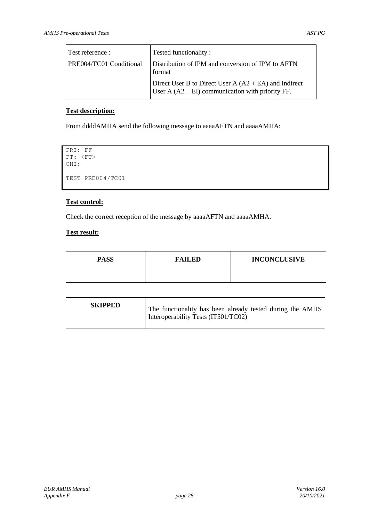| Test reference :        | Tested functionality:                                                                                         |
|-------------------------|---------------------------------------------------------------------------------------------------------------|
| PRE004/TC01 Conditional | Distribution of IPM and conversion of IPM to AFTN<br>format                                                   |
|                         | Direct User B to Direct User $A (A2 + EA)$ and Indirect<br>User A $(A2 + EI)$ communication with priority FF. |

From ddddAMHA send the following message to aaaaAFTN and aaaaAMHA:

```
PRI: FF
FT: <FT>
OHI: 
TEST PRE004/TC01
```
#### **Test control:**

Check the correct reception of the message by aaaaAFTN and aaaaAMHA.

| <b>PASS</b> | <b>FAILED</b> | <b>INCONCLUSIVE</b> |
|-------------|---------------|---------------------|
|             |               |                     |

| <b>SKIPPED</b> | The functionality has been already tested during the AMHS |
|----------------|-----------------------------------------------------------|
|                | Interoperability Tests (IT501/TC02)                       |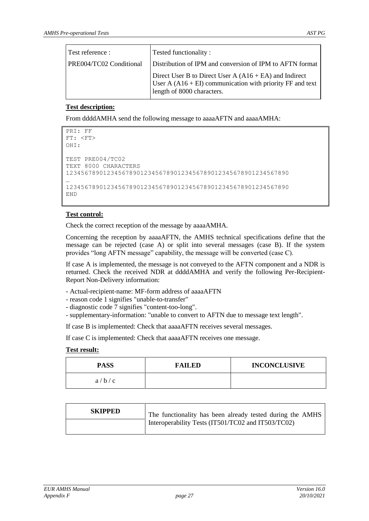| Test reference :        | Tested functionality:                                                                                                                                 |
|-------------------------|-------------------------------------------------------------------------------------------------------------------------------------------------------|
| PRE004/TC02 Conditional | Distribution of IPM and conversion of IPM to AFTN format                                                                                              |
|                         | Direct User B to Direct User $A (A16 + EA)$ and Indirect<br>User A $(A16 + EI)$ communication with priority FF and text<br>length of 8000 characters. |

From ddddAMHA send the following message to aaaaAFTN and aaaaAMHA:

```
PRI: FF
FT: <FT>
OHI:
TEST PRE004/TC02
TEXT 8000 CHARACTERS
123456789012345678901234567890123456789012345678901234567890
…
123456789012345678901234567890123456789012345678901234567890
END
```
#### **Test control:**

Check the correct reception of the message by aaaaAMHA.

Concerning the reception by aaaaAFTN, the AMHS technical specifications define that the message can be rejected (case A) or split into several messages (case B). If the system provides "long AFTN message" capability, the message will be converted (case C).

If case A is implemented, the message is not conveyed to the AFTN component and a NDR is returned. Check the received NDR at ddddAMHA and verify the following Per-Recipient-Report Non-Delivery information:

- Actual-recipient-name: MF-form address of aaaaAFTN
- reason code 1 signifies "unable-to-transfer"
- diagnostic code 7 signifies "content-too-long".
- supplementary-information: "unable to convert to AFTN due to message text length".

If case B is implemented: Check that aaaaAFTN receives several messages.

If case C is implemented: Check that aaaaAFTN receives one message.

| <b>PASS</b> | <b>FAILED</b> | <b>INCONCLUSIVE</b> |
|-------------|---------------|---------------------|
| a/b/c       |               |                     |

| <b>SKIPPED</b> | The functionality has been already tested during the AMHS |
|----------------|-----------------------------------------------------------|
|                | Interoperability Tests (IT501/TC02 and IT503/TC02)        |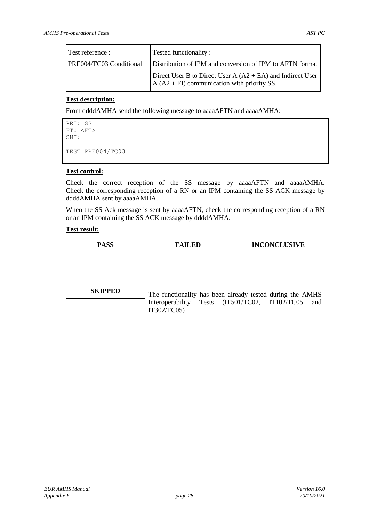| Test reference :        | Tested functionality:                                                                                         |
|-------------------------|---------------------------------------------------------------------------------------------------------------|
| PRE004/TC03 Conditional | Distribution of IPM and conversion of IPM to AFTN format                                                      |
|                         | Direct User B to Direct User $A (A2 + EA)$ and Indirect User<br>$A (A2 + EI)$ communication with priority SS. |

From ddddAMHA send the following message to aaaaAFTN and aaaaAMHA:

```
PRI: SS
FT: <FT>
OHI:
TEST PRE004/TC03
```
#### **Test control:**

Check the correct reception of the SS message by aaaaAFTN and aaaaAMHA. Check the corresponding reception of a RN or an IPM containing the SS ACK message by ddddAMHA sent by aaaaAMHA.

When the SS Ack message is sent by aaaaAFTN, check the corresponding reception of a RN or an IPM containing the SS ACK message by ddddAMHA.

| <b>PASS</b> | <b>FAILED</b> | <b>INCONCLUSIVE</b> |
|-------------|---------------|---------------------|
|             |               |                     |

| <b>SKIPPED</b> | The functionality has been already tested during the AMHS     |  |     |
|----------------|---------------------------------------------------------------|--|-----|
|                | Interoperability Tests (IT501/TC02, IT102/TC05<br>IT302/TC05) |  | and |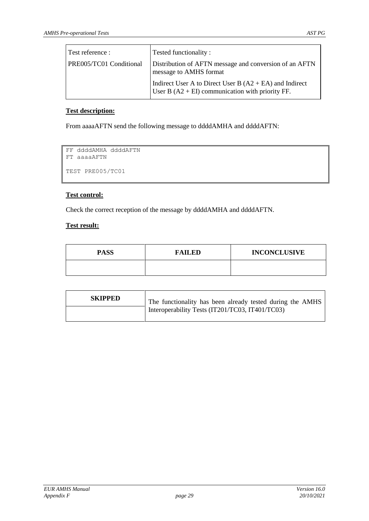| Test reference :               | Tested functionality:                                                                                           |
|--------------------------------|-----------------------------------------------------------------------------------------------------------------|
| <b>PRE005/TC01 Conditional</b> | Distribution of AFTN message and conversion of an AFTN<br>message to AMHS format                                |
|                                | Indirect User A to Direct User B $(A2 + EA)$ and Indirect<br>User B $(A2 + EI)$ communication with priority FF. |

From aaaaAFTN send the following message to ddddAMHA and ddddAFTN:

```
FF ddddAMHA ddddAFTN
FT aaaaAFTN
TEST PRE005/TC01
```
#### **Test control:**

Check the correct reception of the message by ddddAMHA and ddddAFTN.

| <b>PASS</b> | <b>FAILED</b> | <b>INCONCLUSIVE</b> |
|-------------|---------------|---------------------|
|             |               |                     |

| <b>SKIPPED</b> | The functionality has been already tested during the AMHS |
|----------------|-----------------------------------------------------------|
|                | Interoperability Tests (IT201/TC03, IT401/TC03)           |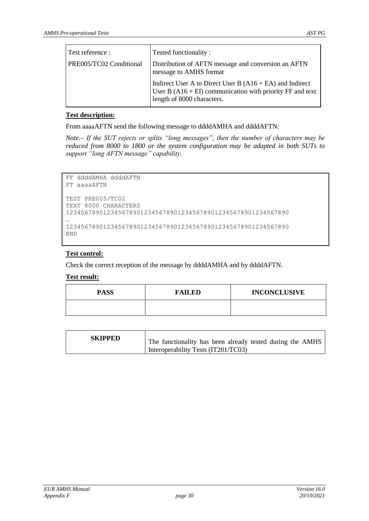| Test reference :        | Tested functionality:                                                                                                                                 |
|-------------------------|-------------------------------------------------------------------------------------------------------------------------------------------------------|
| PRE005/TC02 Conditional | Distribution of AFTN message and conversion an AFTN<br>message to AMHS format                                                                         |
|                         | Indirect User A to Direct User B $(A16 + EA)$ and Indirect<br>User B (A16 + EI) communication with priority FF and text<br>length of 8000 characters. |

From aaaaAFTN send the following message to ddddAMHA and ddddAFTN:

*Note.– If the SUT rejects or splits "long messages", then the number of characters may be reduced from 8000 to 1800 or the system configuration may be adapted in both SUTs to support "long AFTN message" capability.* 

```
FF ddddAMHA ddddAFTN
FT aaaaAFTN
TEST PRE005/TC02
TEXT 8000 CHARACTERS
123456789012345678901234567890123456789012345678901234567890
…
123456789012345678901234567890123456789012345678901234567890
END
```
#### **Test control:**

Check the correct reception of the message by ddddAMHA and by ddddAFTN.

| <b>PASS</b> | <b>FAILED</b> | <b>INCONCLUSIVE</b> |
|-------------|---------------|---------------------|
|             |               |                     |

| <b>SKIPPED</b><br>The functionality has been already tested during the AMHS<br>Interoperability Tests (IT201/TC03) |  |
|--------------------------------------------------------------------------------------------------------------------|--|
|--------------------------------------------------------------------------------------------------------------------|--|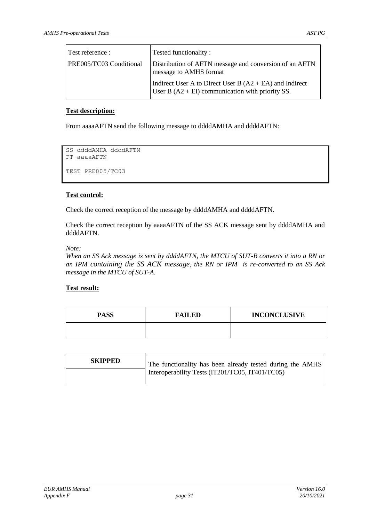| Test reference :        | Tested functionality:                                                                                           |
|-------------------------|-----------------------------------------------------------------------------------------------------------------|
| PRE005/TC03 Conditional | Distribution of AFTN message and conversion of an AFTN<br>message to AMHS format                                |
|                         | Indirect User A to Direct User B $(A2 + EA)$ and Indirect<br>User B $(A2 + EI)$ communication with priority SS. |

From aaaaAFTN send the following message to ddddAMHA and ddddAFTN:

```
SS ddddAMHA ddddAFTN
FT aaaaAFTN
TEST PRE005/TC03
```
#### **Test control:**

Check the correct reception of the message by ddddAMHA and ddddAFTN.

Check the correct reception by aaaaAFTN of the SS ACK message sent by ddddAMHA and ddddAFTN.

#### *Note:*

*When an SS Ack message is sent by ddddAFTN, the MTCU of SUT-B converts it into a RN or an IPM containing the SS ACK message, the RN or IPM is re-converted to an SS Ack message in the MTCU of SUT-A.* 

| <b>PASS</b> | <b>FAILED</b> | <b>INCONCLUSIVE</b> |
|-------------|---------------|---------------------|
|             |               |                     |

| <b>SKIPPED</b> | The functionality has been already tested during the AMHS |
|----------------|-----------------------------------------------------------|
|                | Interoperability Tests (IT201/TC05, IT401/TC05)           |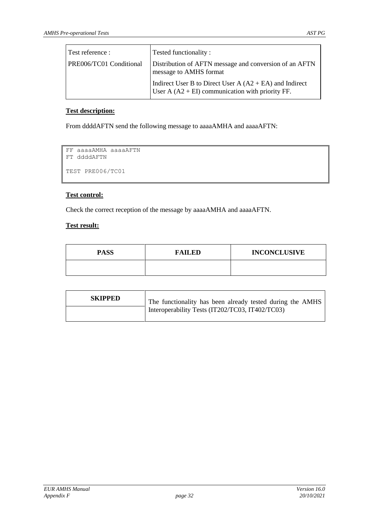| Test reference :        | Tested functionality:                                                                                           |
|-------------------------|-----------------------------------------------------------------------------------------------------------------|
| PRE006/TC01 Conditional | Distribution of AFTN message and conversion of an AFTN<br>message to AMHS format                                |
|                         | Indirect User B to Direct User $A (A2 + EA)$ and Indirect<br>User A $(A2 + EI)$ communication with priority FF. |

From ddddAFTN send the following message to aaaaAMHA and aaaaAFTN:

```
FF aaaaAMHA aaaaAFTN
FT ddddAFTN
TEST PRE006/TC01
```
#### **Test control:**

Check the correct reception of the message by aaaaAMHA and aaaaAFTN.

| <b>PASS</b> | <b>FAILED</b> | <b>INCONCLUSIVE</b> |
|-------------|---------------|---------------------|
|             |               |                     |

| <b>SKIPPED</b> | The functionality has been already tested during the AMHS |
|----------------|-----------------------------------------------------------|
|                | Interoperability Tests (IT202/TC03, IT402/TC03)           |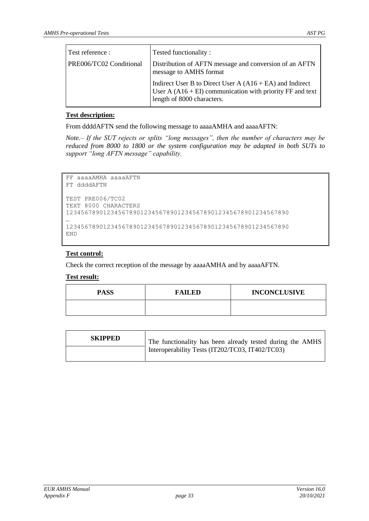| Test reference :        | Tested functionality:                                                                                                                                   |
|-------------------------|---------------------------------------------------------------------------------------------------------------------------------------------------------|
| PRE006/TC02 Conditional | Distribution of AFTN message and conversion of an AFTN<br>message to AMHS format                                                                        |
|                         | Indirect User B to Direct User A $(A16 + EA)$ and Indirect<br>User A $(A16 + EI)$ communication with priority FF and text<br>length of 8000 characters. |

From ddddAFTN send the following message to aaaaAMHA and aaaaAFTN:

*Note.– If the SUT rejects or splits "long messages", then the number of characters may be reduced from 8000 to 1800 or the system configuration may be adapted in both SUTs to support "long AFTN message" capability.* 

```
FF aaaaAMHA aaaaAFTN
FT ddddAFTN
TEST PRE006/TC02
TEXT 8000 CHARACTERS
123456789012345678901234567890123456789012345678901234567890
…
123456789012345678901234567890123456789012345678901234567890
END
```
#### **Test control:**

Check the correct reception of the message by aaaaAMHA and by aaaaAFTN.

| <b>PASS</b> | <b>FAILED</b> | <b>INCONCLUSIVE</b> |
|-------------|---------------|---------------------|
|             |               |                     |

| <b>SKIPPED</b> | The functionality has been already tested during the AMHS |
|----------------|-----------------------------------------------------------|
|                | Interoperability Tests (IT202/TC03, IT402/TC03)           |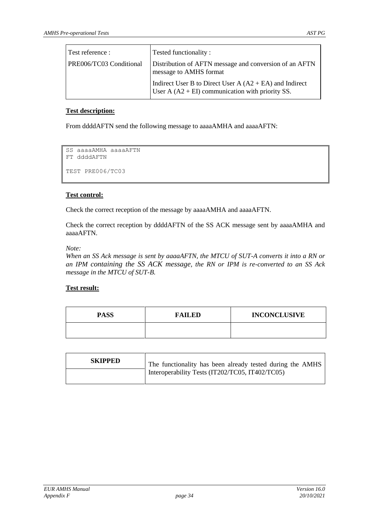| Test reference :               | Tested functionality:                                                                                           |
|--------------------------------|-----------------------------------------------------------------------------------------------------------------|
| <b>PRE006/TC03 Conditional</b> | Distribution of AFTN message and conversion of an AFTN<br>message to AMHS format                                |
|                                | Indirect User B to Direct User A $(A2 + EA)$ and Indirect<br>User A $(A2 + EI)$ communication with priority SS. |

From ddddAFTN send the following message to aaaaAMHA and aaaaAFTN:

```
SS aaaaAMHA aaaaAFTN
FT ddddAFTN
TEST PRE006/TC03
```
#### **Test control:**

Check the correct reception of the message by aaaaAMHA and aaaaAFTN.

Check the correct reception by ddddAFTN of the SS ACK message sent by aaaaAMHA and aaaaAFTN.

#### *Note:*

*When an SS Ack message is sent by aaaaAFTN, the MTCU of SUT-A converts it into a RN or an IPM containing the SS ACK message, the RN or IPM is re-converted to an SS Ack message in the MTCU of SUT-B.* 

| <b>PASS</b> | <b>FAILED</b> | <b>INCONCLUSIVE</b> |
|-------------|---------------|---------------------|
|             |               |                     |

| <b>SKIPPED</b> | The functionality has been already tested during the AMHS |
|----------------|-----------------------------------------------------------|
|                | Interoperability Tests (IT202/TC05, IT402/TC05)           |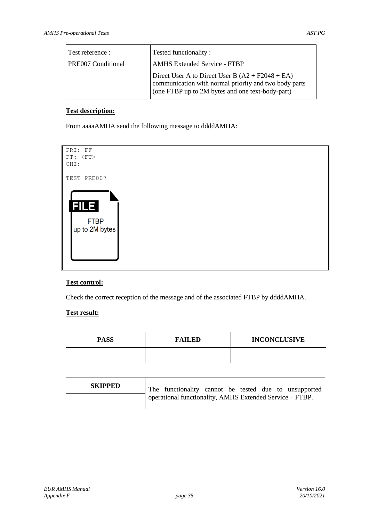| Test reference :          | Tested functionality:                                                                                                                                           |
|---------------------------|-----------------------------------------------------------------------------------------------------------------------------------------------------------------|
| <b>PRE007 Conditional</b> | <b>AMHS Extended Service - FTBP</b>                                                                                                                             |
|                           | Direct User A to Direct User B $(A2 + F2048 + EA)$<br>communication with normal priority and two body parts<br>(one FTBP up to 2M bytes and one text-body-part) |

From aaaaAMHA send the following message to ddddAMHA:



#### **Test control:**

Check the correct reception of the message and of the associated FTBP by ddddAMHA.

| <b>PASS</b> | <b>FAILED</b> | <b>INCONCLUSIVE</b> |
|-------------|---------------|---------------------|
|             |               |                     |

| <b>SKIPPED</b> | The functionality cannot be tested due to unsupported    |
|----------------|----------------------------------------------------------|
|                | operational functionality, AMHS Extended Service - FTBP. |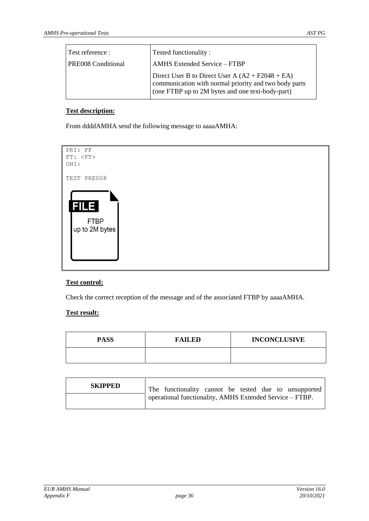| Test reference :          | Tested functionality:                                                                                                                                           |
|---------------------------|-----------------------------------------------------------------------------------------------------------------------------------------------------------------|
| <b>PRE008 Conditional</b> | <b>AMHS</b> Extended Service – FTBP                                                                                                                             |
|                           | Direct User B to Direct User A $(A2 + F2048 + EA)$<br>communication with normal priority and two body parts<br>(one FTBP up to 2M bytes and one text-body-part) |

From ddddAMHA send the following message to aaaaAMHA:



#### **Test control:**

Check the correct reception of the message and of the associated FTBP by aaaaAMHA.

| <b>PASS</b> | <b>FAILED</b> | <b>INCONCLUSIVE</b> |
|-------------|---------------|---------------------|
|             |               |                     |

| <b>SKIPPED</b> | The functionality cannot be tested due to unsupported    |
|----------------|----------------------------------------------------------|
|                | operational functionality, AMHS Extended Service - FTBP. |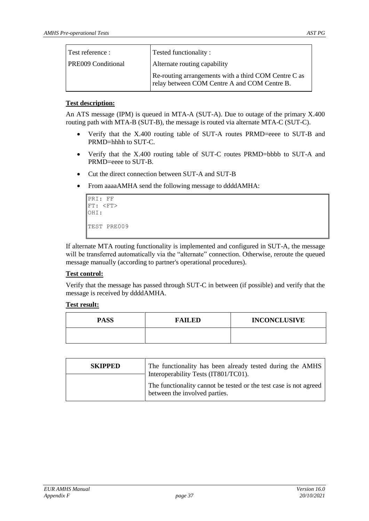| Test reference :          | Tested functionality:                                                                                |
|---------------------------|------------------------------------------------------------------------------------------------------|
| <b>PRE009 Conditional</b> | Alternate routing capability                                                                         |
|                           | Re-routing arrangements with a third COM Centre C as<br>relay between COM Centre A and COM Centre B. |

An ATS message (IPM) is queued in MTA-A (SUT-A). Due to outage of the primary X.400 routing path with MTA-B (SUT-B), the message is routed via alternate MTA-C (SUT-C).

- Verify that the X.400 routing table of SUT-A routes PRMD=eeee to SUT-B and PRMD=hhhh to SUT-C.
- Verify that the X.400 routing table of SUT-C routes PRMD=bbbb to SUT-A and PRMD=eeee to SUT-B.
- Cut the direct connection between SUT-A and SUT-B
- From aaaaAMHA send the following message to ddddAMHA:

```
PRI: FF
FT: <FT>
OHI: 
TEST PRE009
```
If alternate MTA routing functionality is implemented and configured in SUT-A, the message will be transferred automatically via the "alternate" connection. Otherwise, reroute the queued message manually (according to partner's operational procedures).

#### **Test control:**

Verify that the message has passed through SUT-C in between (if possible) and verify that the message is received by ddddAMHA.

| <b>PASS</b> | <b>FAILED</b> | <b>INCONCLUSIVE</b> |
|-------------|---------------|---------------------|
|             |               |                     |

| <b>SKIPPED</b> | The functionality has been already tested during the AMHS<br>Interoperability Tests (IT801/TC01).  |
|----------------|----------------------------------------------------------------------------------------------------|
|                | The functionality cannot be tested or the test case is not agreed<br>between the involved parties. |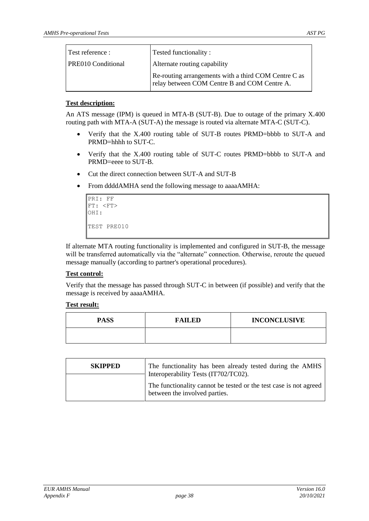| Test reference :          | Tested functionality:                                                                                |
|---------------------------|------------------------------------------------------------------------------------------------------|
| <b>PRE010 Conditional</b> | Alternate routing capability                                                                         |
|                           | Re-routing arrangements with a third COM Centre C as<br>relay between COM Centre B and COM Centre A. |

An ATS message (IPM) is queued in MTA-B (SUT-B). Due to outage of the primary X.400 routing path with MTA-A (SUT-A) the message is routed via alternate MTA-C (SUT-C).

- Verify that the X.400 routing table of SUT-B routes PRMD=bbbb to SUT-A and PRMD=hhhh to SUT-C.
- Verify that the X.400 routing table of SUT-C routes PRMD=bbbb to SUT-A and PRMD=eeee to SUT-B.
- Cut the direct connection between SUT-A and SUT-B
- From ddddAMHA send the following message to aaaaAMHA:

```
PRI: FF
FT: <FT>
OHI: 
TEST PRE010
```
If alternate MTA routing functionality is implemented and configured in SUT-B, the message will be transferred automatically via the "alternate" connection. Otherwise, reroute the queued message manually (according to partner's operational procedures).

#### **Test control:**

Verify that the message has passed through SUT-C in between (if possible) and verify that the message is received by aaaaAMHA.

| <b>PASS</b> | <b>FAILED</b> | <b>INCONCLUSIVE</b> |
|-------------|---------------|---------------------|
|             |               |                     |

| <b>SKIPPED</b> | The functionality has been already tested during the AMHS<br>Interoperability Tests (IT702/TC02).  |
|----------------|----------------------------------------------------------------------------------------------------|
|                | The functionality cannot be tested or the test case is not agreed<br>between the involved parties. |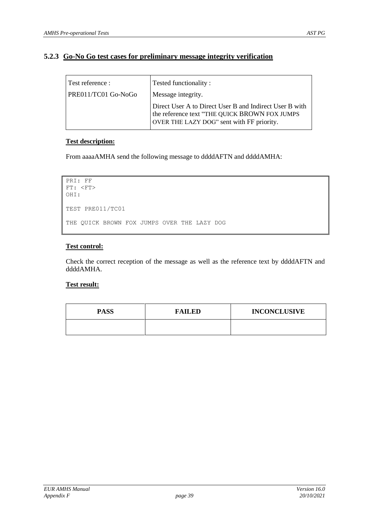#### **5.2.3 Go-No Go test cases for preliminary message integrity verification**

| Test reference :    | Tested functionality:                                                                                                                                 |
|---------------------|-------------------------------------------------------------------------------------------------------------------------------------------------------|
| PRE011/TC01 Go-NoGo | Message integrity.                                                                                                                                    |
|                     | Direct User A to Direct User B and Indirect User B with<br>the reference text "THE QUICK BROWN FOX JUMPS<br>OVER THE LAZY DOG" sent with FF priority. |

#### **Test description:**

From aaaaAMHA send the following message to ddddAFTN and ddddAMHA:

```
PRI: FF
FT: <FT>
OHI: 
TEST PRE011/TC01
THE QUICK BROWN FOX JUMPS OVER THE LAZY DOG
```
#### **Test control:**

Check the correct reception of the message as well as the reference text by ddddAFTN and ddddAMHA.

| <b>PASS</b> | <b>FAILED</b> | <b>INCONCLUSIVE</b> |
|-------------|---------------|---------------------|
|             |               |                     |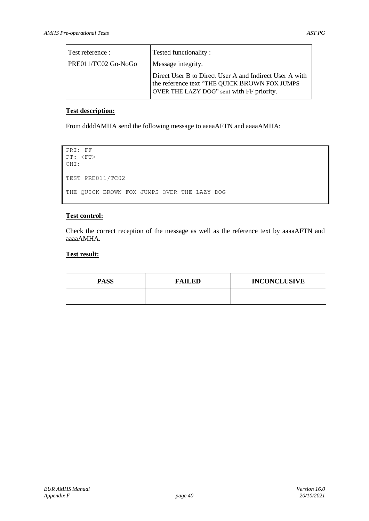| Test reference :    | Tested functionality:                                                                                                                                 |  |
|---------------------|-------------------------------------------------------------------------------------------------------------------------------------------------------|--|
| PRE011/TC02 Go-NoGo | Message integrity.                                                                                                                                    |  |
|                     | Direct User B to Direct User A and Indirect User A with<br>the reference text "THE QUICK BROWN FOX JUMPS<br>OVER THE LAZY DOG" sent with FF priority. |  |

From ddddAMHA send the following message to aaaaAFTN and aaaaAMHA:

```
PRI: FF
FT: <FT>
OHI: 
TEST PRE011/TC02
THE QUICK BROWN FOX JUMPS OVER THE LAZY DOG
```
#### **Test control:**

Check the correct reception of the message as well as the reference text by aaaaAFTN and aaaaAMHA.

| <b>PASS</b> | <b>FAILED</b> | <b>INCONCLUSIVE</b> |
|-------------|---------------|---------------------|
|             |               |                     |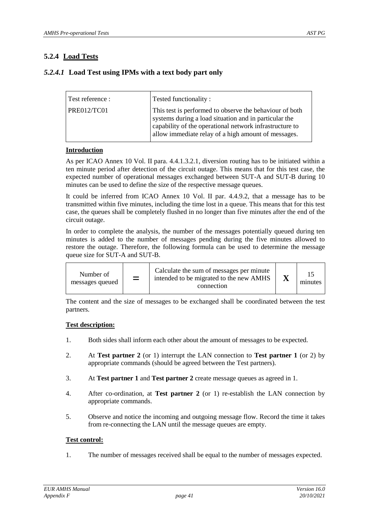## **5.2.4 Load Tests**

### *5.2.4.1* **Load Test using IPMs with a text body part only**

| Test reference : | Tested functionality:                                                                                                                                                                                                              |
|------------------|------------------------------------------------------------------------------------------------------------------------------------------------------------------------------------------------------------------------------------|
| PRE012/TCO1      | This test is performed to observe the behaviour of both<br>systems during a load situation and in particular the<br>capability of the operational network infrastructure to<br>allow immediate relay of a high amount of messages. |

#### **Introduction**

As per ICAO Annex 10 Vol. II para. 4.4.1.3.2.1, diversion routing has to be initiated within a ten minute period after detection of the circuit outage. This means that for this test case, the expected number of operational messages exchanged between SUT-A and SUT-B during 10 minutes can be used to define the size of the respective message queues.

It could be inferred from ICAO Annex 10 Vol. II par. 4.4.9.2, that a message has to be transmitted within five minutes, including the time lost in a queue. This means that for this test case, the queues shall be completely flushed in no longer than five minutes after the end of the circuit outage.

In order to complete the analysis, the number of the messages potentially queued during ten minutes is added to the number of messages pending during the five minutes allowed to restore the outage. Therefore, the following formula can be used to determine the message queue size for SUT-A and SUT-B.

| Number of<br>messages queued | $=$ | Calculate the sum of messages per minute<br>intended to be migrated to the new AMHS<br>connection |  | minutes |
|------------------------------|-----|---------------------------------------------------------------------------------------------------|--|---------|
|------------------------------|-----|---------------------------------------------------------------------------------------------------|--|---------|

The content and the size of messages to be exchanged shall be coordinated between the test partners.

#### **Test description:**

- 1. Both sides shall inform each other about the amount of messages to be expected.
- 2. At **Test partner 2** (or 1) interrupt the LAN connection to **Test partner 1** (or 2) by appropriate commands (should be agreed between the Test partners).
- 3. At **Test partner 1** and **Test partner 2** create message queues as agreed in 1.
- 4. After co-ordination, at **Test partner 2** (or 1) re-establish the LAN connection by appropriate commands.
- 5. Observe and notice the incoming and outgoing message flow. Record the time it takes from re-connecting the LAN until the message queues are empty.

#### **Test control:**

1. The number of messages received shall be equal to the number of messages expected.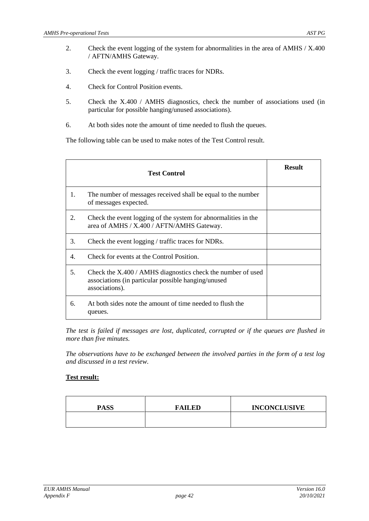- 2. Check the event logging of the system for abnormalities in the area of AMHS / X.400 / AFTN/AMHS Gateway.
- 3. Check the event logging / traffic traces for NDRs.
- 4. Check for Control Position events.
- 5. Check the X.400 / AMHS diagnostics, check the number of associations used (in particular for possible hanging/unused associations).
- 6. At both sides note the amount of time needed to flush the queues.

The following table can be used to make notes of the Test Control result.

|    | <b>Test Control</b>                                                                                                                    | <b>Result</b> |
|----|----------------------------------------------------------------------------------------------------------------------------------------|---------------|
| 1. | The number of messages received shall be equal to the number<br>of messages expected.                                                  |               |
| 2. | Check the event logging of the system for abnormalities in the<br>area of AMHS / X.400 / AFTN/AMHS Gateway.                            |               |
| 3. | Check the event logging / traffic traces for NDRs.                                                                                     |               |
| 4. | Check for events at the Control Position.                                                                                              |               |
| 5. | Check the $X.400 / AMHS$ diagnostics check the number of used<br>associations (in particular possible hanging/unused<br>associations). |               |
| 6. | At both sides note the amount of time needed to flush the<br>queues.                                                                   |               |

*The test is failed if messages are lost, duplicated, corrupted or if the queues are flushed in more than five minutes.* 

*The observations have to be exchanged between the involved parties in the form of a test log and discussed in a test review.*

| <b>PASS</b> | <b>FAILED</b> | <b>INCONCLUSIVE</b> |
|-------------|---------------|---------------------|
|             |               |                     |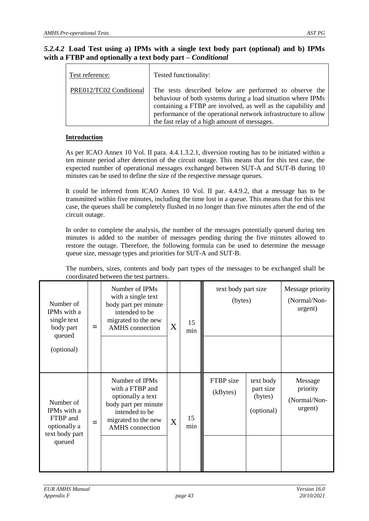#### *5.2.4.2* **Load Test using a) IPMs with a single text body part (optional) and b) IPMs with a FTBP and optionally a text body part –** *Conditional*

| Test reference:         | Tested functionality:                                                                                                                                                                                                                                                                                     |
|-------------------------|-----------------------------------------------------------------------------------------------------------------------------------------------------------------------------------------------------------------------------------------------------------------------------------------------------------|
| PRE012/TC02 Conditional | The tests described below are performed to observe the<br>behaviour of both systems during a load situation where IPMs<br>containing a FTBP are involved, as well as the capability and<br>performance of the operational network infrastructure to allow<br>the fast relay of a high amount of messages. |

#### **Introduction**

As per ICAO Annex 10 Vol. II para. 4.4.1.3.2.1, diversion routing has to be initiated within a ten minute period after detection of the circuit outage. This means that for this test case, the expected number of operational messages exchanged between SUT-A and SUT-B during 10 minutes can be used to define the size of the respective message queues.

It could be inferred from ICAO Annex 10 Vol. II par. 4.4.9.2, that a message has to be transmitted within five minutes, including the time lost in a queue. This means that for this test case, the queues shall be completely flushed in no longer than five minutes after the end of the circuit outage.

In order to complete the analysis, the number of the messages potentially queued during ten minutes is added to the number of messages pending during the five minutes allowed to restore the outage. Therefore, the following formula can be used to determine the message queue size, message types and priorities for SUT-A and SUT-B.

The numbers, sizes, contents and body part types of the messages to be exchanged shall be coordinated between the test partners.

| Number of<br>IPMs with a<br>single text<br>body part<br>queued<br>(optional)     | $=$ | Number of IPMs<br>with a single text<br>body part per minute<br>intended to be<br>migrated to the new<br><b>AMHS</b> connection                   | X | 15<br>min | text body part size<br>(bytes) |                                                 | Message priority<br>(Normal/Non-<br>urgent)    |
|----------------------------------------------------------------------------------|-----|---------------------------------------------------------------------------------------------------------------------------------------------------|---|-----------|--------------------------------|-------------------------------------------------|------------------------------------------------|
| Number of<br>IPMs with a<br>FTBP and<br>optionally a<br>text body part<br>queued | $=$ | Number of IPMs<br>with a FTBP and<br>optionally a text<br>body part per minute<br>intended to be<br>migrated to the new<br><b>AMHS</b> connection | X | 15<br>min | FTBP size<br>(kBytes)          | text body<br>part size<br>(bytes)<br>(optional) | Message<br>priority<br>(Normal/Non-<br>urgent) |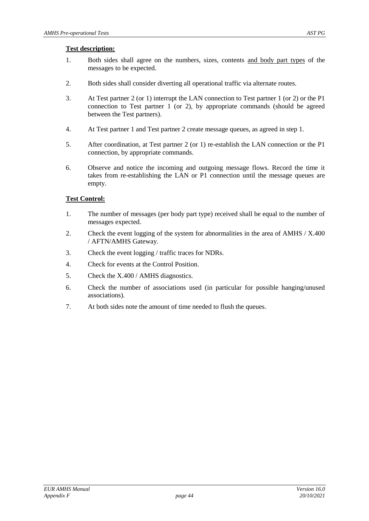- 1. Both sides shall agree on the numbers, sizes, contents and body part types of the messages to be expected.
- 2. Both sides shall consider diverting all operational traffic via alternate routes.
- 3. At Test partner 2 (or 1) interrupt the LAN connection to Test partner 1 (or 2) or the P1 connection to Test partner 1 (or 2), by appropriate commands (should be agreed between the Test partners).
- 4. At Test partner 1 and Test partner 2 create message queues, as agreed in step 1.
- 5. After coordination, at Test partner 2 (or 1) re-establish the LAN connection or the P1 connection, by appropriate commands.
- 6. Observe and notice the incoming and outgoing message flows. Record the time it takes from re-establishing the LAN or P1 connection until the message queues are empty.

#### **Test Control:**

- 1. The number of messages (per body part type) received shall be equal to the number of messages expected.
- 2. Check the event logging of the system for abnormalities in the area of AMHS / X.400 / AFTN/AMHS Gateway.
- 3. Check the event logging / traffic traces for NDRs.
- 4. Check for events at the Control Position.
- 5. Check the X.400 / AMHS diagnostics.
- 6. Check the number of associations used (in particular for possible hanging/unused associations).
- 7. At both sides note the amount of time needed to flush the queues.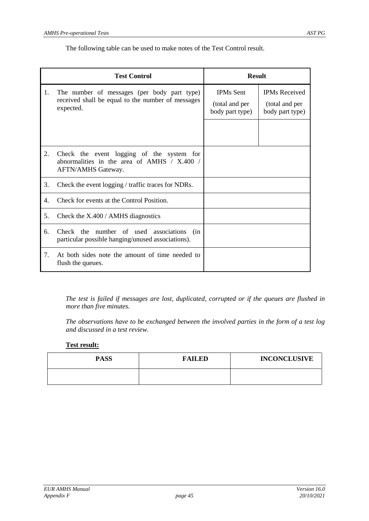The following table can be used to make notes of the Test Control result.

|    | <b>Test Control</b>                                                                                              | <b>Result</b>                                         |                                                           |  |
|----|------------------------------------------------------------------------------------------------------------------|-------------------------------------------------------|-----------------------------------------------------------|--|
| 1. | The number of messages (per body part type)<br>received shall be equal to the number of messages<br>expected.    | <b>IPMs Sent</b><br>(total and per<br>body part type) | <b>IPMs</b> Received<br>(total and per<br>body part type) |  |
| 2. | Check the event logging of the system for<br>abnormalities in the area of AMHS $/ X.400 /$<br>AFTN/AMHS Gateway. |                                                       |                                                           |  |
| 3. | Check the event logging / traffic traces for NDRs.                                                               |                                                       |                                                           |  |
| 4. | Check for events at the Control Position.                                                                        |                                                       |                                                           |  |
| 5. | Check the $X.400 / AMHS$ diagnostics                                                                             |                                                       |                                                           |  |
| 6. | Check the<br>number of used associations<br>(in<br>particular possible hanging/unused associations).             |                                                       |                                                           |  |
| 7. | At both sides note the amount of time needed to<br>flush the queues.                                             |                                                       |                                                           |  |

*The test is failed if messages are lost, duplicated, corrupted or if the queues are flushed in more than five minutes.*

*The observations have to be exchanged between the involved parties in the form of a test log and discussed in a test review.*

| <b>PASS</b> | <b>FAILED</b> | <b>INCONCLUSIVE</b> |
|-------------|---------------|---------------------|
|             |               |                     |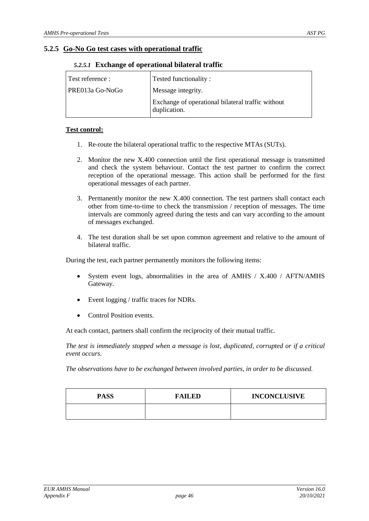#### **5.2.5 Go-No Go test cases with operational traffic**

| Test reference : | <b>Tested functionality:</b>                                      |
|------------------|-------------------------------------------------------------------|
| PRE013a Go-NoGo  | Message integrity.                                                |
|                  | Exchange of operational bilateral traffic without<br>duplication. |

#### *5.2.5.1* **Exchange of operational bilateral traffic**

#### **Test control:**

- 1. Re-route the bilateral operational traffic to the respective MTAs (SUTs).
- 2. Monitor the new X.400 connection until the first operational message is transmitted and check the system behaviour. Contact the test partner to confirm the correct reception of the operational message. This action shall be performed for the first operational messages of each partner.
- 3. Permanently monitor the new X.400 connection. The test partners shall contact each other from time-to-time to check the transmission / reception of messages. The time intervals are commonly agreed during the tests and can vary according to the amount of messages exchanged.
- 4. The test duration shall be set upon common agreement and relative to the amount of bilateral traffic.

During the test, each partner permanently monitors the following items:

- System event logs, abnormalities in the area of AMHS / X.400 / AFTN/AMHS Gateway.
- Event logging / traffic traces for NDRs.
- Control Position events.

At each contact, partners shall confirm the reciprocity of their mutual traffic.

*The test is immediately stopped when a message is lost, duplicated, corrupted or if a critical event occurs.*

*The observations have to be exchanged between involved parties, in order to be discussed.*

| <b>PASS</b> | <b>FAILED</b> | <b>INCONCLUSIVE</b> |
|-------------|---------------|---------------------|
|             |               |                     |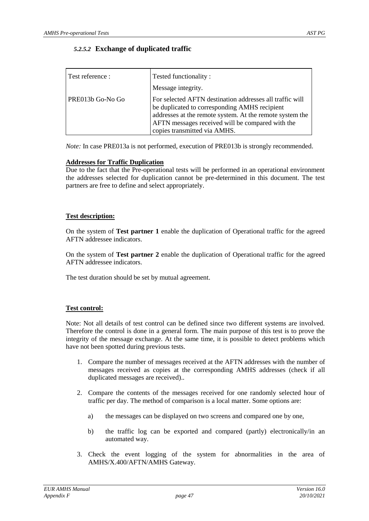#### *5.2.5.2* **Exchange of duplicated traffic**

| Test reference : | Tested functionality:                                                                                                                                                                                                                                     |
|------------------|-----------------------------------------------------------------------------------------------------------------------------------------------------------------------------------------------------------------------------------------------------------|
|                  | Message integrity.                                                                                                                                                                                                                                        |
| PRE013b Go-No Go | For selected AFTN destination addresses all traffic will<br>be duplicated to corresponding AMHS recipient<br>addresses at the remote system. At the remote system the<br>AFTN messages received will be compared with the<br>copies transmitted via AMHS. |

*Note:* In case PRE013a is not performed, execution of PRE013b is strongly recommended.

#### **Addresses for Traffic Duplication**

Due to the fact that the Pre-operational tests will be performed in an operational environment the addresses selected for duplication cannot be pre-determined in this document. The test partners are free to define and select appropriately.

#### **Test description:**

On the system of **Test partner 1** enable the duplication of Operational traffic for the agreed AFTN addressee indicators.

On the system of **Test partner 2** enable the duplication of Operational traffic for the agreed AFTN addressee indicators.

The test duration should be set by mutual agreement.

#### **Test control:**

Note: Not all details of test control can be defined since two different systems are involved. Therefore the control is done in a general form. The main purpose of this test is to prove the integrity of the message exchange. At the same time, it is possible to detect problems which have not been spotted during previous tests.

- 1. Compare the number of messages received at the AFTN addresses with the number of messages received as copies at the corresponding AMHS addresses (check if all duplicated messages are received)..
- 2. Compare the contents of the messages received for one randomly selected hour of traffic per day. The method of comparison is a local matter. Some options are:
	- a) the messages can be displayed on two screens and compared one by one,
	- b) the traffic log can be exported and compared (partly) electronically/in an automated way.
- 3. Check the event logging of the system for abnormalities in the area of AMHS/X.400/AFTN/AMHS Gateway.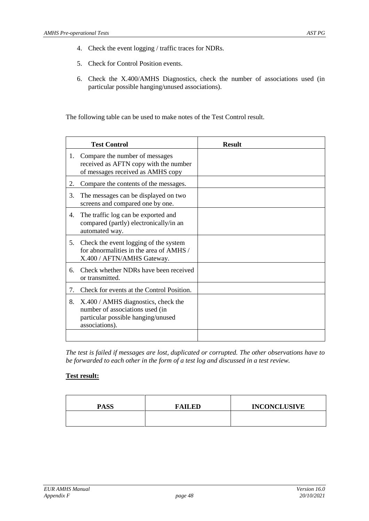- 4. Check the event logging / traffic traces for NDRs.
- 5. Check for Control Position events.
- 6. Check the X.400/AMHS Diagnostics, check the number of associations used (in particular possible hanging/unused associations).

The following table can be used to make notes of the Test Control result.

|    | <b>Test Control</b>                                                                                                            | <b>Result</b> |
|----|--------------------------------------------------------------------------------------------------------------------------------|---------------|
| 1. | Compare the number of messages<br>received as AFTN copy with the number<br>of messages received as AMHS copy                   |               |
| 2. | Compare the contents of the messages.                                                                                          |               |
| 3. | The messages can be displayed on two<br>screens and compared one by one.                                                       |               |
| 4. | The traffic log can be exported and<br>compared (partly) electronically/in an<br>automated way.                                |               |
| 5. | Check the event logging of the system<br>for abnormalities in the area of AMHS /<br>X.400 / AFTN/AMHS Gateway.                 |               |
| 6. | Check whether NDRs have been received<br>or transmitted.                                                                       |               |
| 7. | Check for events at the Control Position.                                                                                      |               |
| 8. | X.400 / AMHS diagnostics, check the<br>number of associations used (in<br>particular possible hanging/unused<br>associations). |               |
|    |                                                                                                                                |               |

*The test is failed if messages are lost, duplicated or corrupted. The other observations have to be forwarded to each other in the form of a test log and discussed in a test review.*

| <b>PASS</b> | <b>FAILED</b> | <b>INCONCLUSIVE</b> |
|-------------|---------------|---------------------|
|             |               |                     |